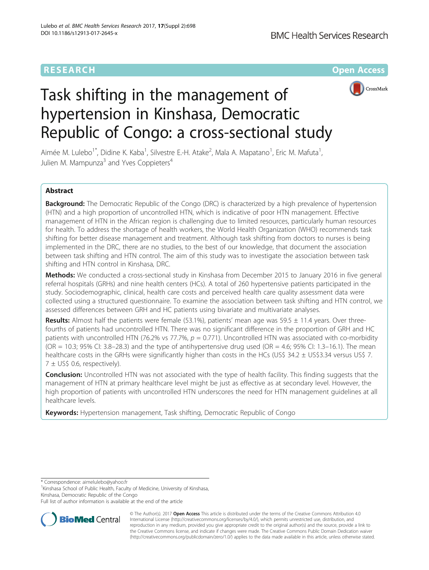# **RESEARCH CHE Open Access**



# Task shifting in the management of hypertension in Kinshasa, Democratic Republic of Congo: a cross-sectional study

Aimée M. Lulebo<sup>1\*</sup>, Didine K. Kaba<sup>1</sup>, Silvestre E.-H. Atake<sup>2</sup>, Mala A. Mapatano<sup>1</sup>, Eric M. Mafuta<sup>1</sup> , Julien M. Mampunza<sup>3</sup> and Yves Coppieters<sup>4</sup>

# Abstract

**Background:** The Democratic Republic of the Congo (DRC) is characterized by a high prevalence of hypertension (HTN) and a high proportion of uncontrolled HTN, which is indicative of poor HTN management. Effective management of HTN in the African region is challenging due to limited resources, particularly human resources for health. To address the shortage of health workers, the World Health Organization (WHO) recommends task shifting for better disease management and treatment. Although task shifting from doctors to nurses is being implemented in the DRC, there are no studies, to the best of our knowledge, that document the association between task shifting and HTN control. The aim of this study was to investigate the association between task shifting and HTN control in Kinshasa, DRC.

Methods: We conducted a cross-sectional study in Kinshasa from December 2015 to January 2016 in five general referral hospitals (GRHs) and nine health centers (HCs). A total of 260 hypertensive patients participated in the study. Sociodemographic, clinical, health care costs and perceived health care quality assessment data were collected using a structured questionnaire. To examine the association between task shifting and HTN control, we assessed differences between GRH and HC patients using bivariate and multivariate analyses.

**Results:** Almost half the patients were female (53.1%), patients' mean age was 59.5  $\pm$  11.4 years. Over threefourths of patients had uncontrolled HTN. There was no significant difference in the proportion of GRH and HC patients with uncontrolled HTN (76.2% vs 77.7%,  $p = 0.771$ ). Uncontrolled HTN was associated with co-morbidity  $(OR = 10.3; 95%$  CI:  $3.8-28.3$ ) and the type of antihypertensive drug used  $(OR = 4.6; 95%$  CI: 1.3–16.1). The mean healthcare costs in the GRHs were significantly higher than costs in the HCs (US\$ 34.2 ± US\$3.34 versus US\$ 7.  $7 \pm$  US\$ 0.6, respectively).

**Conclusion:** Uncontrolled HTN was not associated with the type of health facility. This finding suggests that the management of HTN at primary healthcare level might be just as effective as at secondary level. However, the high proportion of patients with uncontrolled HTN underscores the need for HTN management guidelines at all healthcare levels.

Keywords: Hypertension management, Task shifting, Democratic Republic of Congo

<sup>1</sup>Kinshasa School of Public Health, Faculty of Medicine, University of Kinshasa, Kinshasa, Democratic Republic of the Congo

Full list of author information is available at the end of the article



© The Author(s). 2017 **Open Access** This article is distributed under the terms of the Creative Commons Attribution 4.0 International License [\(http://creativecommons.org/licenses/by/4.0/](http://creativecommons.org/licenses/by/4.0/)), which permits unrestricted use, distribution, and reproduction in any medium, provided you give appropriate credit to the original author(s) and the source, provide a link to the Creative Commons license, and indicate if changes were made. The Creative Commons Public Domain Dedication waiver [\(http://creativecommons.org/publicdomain/zero/1.0/](http://creativecommons.org/publicdomain/zero/1.0/)) applies to the data made available in this article, unless otherwise stated.

<sup>\*</sup> Correspondence: [aimelulebo@yahoo.fr](mailto:aimelulebo@yahoo.fr) <sup>1</sup>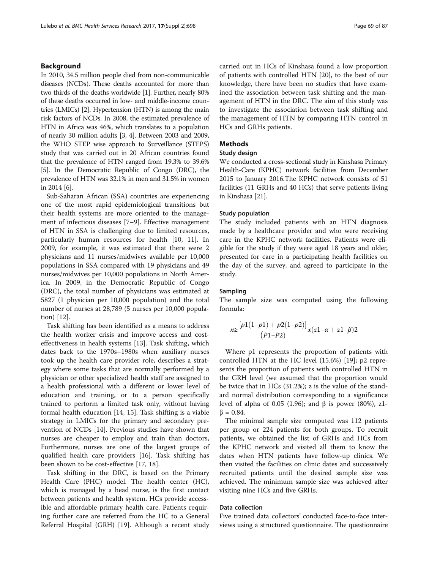# Background

In 2010, 34.5 million people died from non-communicable diseases (NCDs). These deaths accounted for more than two thirds of the deaths worldwide [\[1\]](#page-5-0). Further, nearly 80% of these deaths occurred in low- and middle-income countries (LMICs) [\[2](#page-5-0)]. Hypertension (HTN) is among the main risk factors of NCDs. In 2008, the estimated prevalence of HTN in Africa was 46%, which translates to a population of nearly 30 million adults [\[3, 4\]](#page-5-0). Between 2003 and 2009, the WHO STEP wise approach to Surveillance (STEPS) study that was carried out in 20 African countries found that the prevalence of HTN ranged from 19.3% to 39.6% [[5](#page-5-0)]. In the Democratic Republic of Congo (DRC), the prevalence of HTN was 32.1% in men and 31.5% in women in 2014 [[6](#page-5-0)].

Sub-Saharan African (SSA) countries are experiencing one of the most rapid epidemiological transitions but their health systems are more oriented to the management of infectious diseases [\[7](#page-5-0)–[9\]](#page-5-0). Effective management of HTN in SSA is challenging due to limited resources, particularly human resources for health [\[10, 11](#page-5-0)]. In 2009, for example, it was estimated that there were 2 physicians and 11 nurses/midwives available per 10,000 populations in SSA compared with 19 physicians and 49 nurses/midwives per 10,000 populations in North America. In 2009, in the Democratic Republic of Congo (DRC), the total number of physicians was estimated at 5827 (1 physician per 10,000 population) and the total number of nurses at 28,789 (5 nurses per 10,000 population) [\[12](#page-5-0)].

Task shifting has been identified as a means to address the health worker crisis and improve access and costeffectiveness in health systems [\[13\]](#page-5-0). Task shifting, which dates back to the 1970s–1980s when auxiliary nurses took up the health care provider role, describes a strategy where some tasks that are normally performed by a physician or other specialized health staff are assigned to a health professional with a different or lower level of education and training, or to a person specifically trained to perform a limited task only, without having formal health education [\[14, 15](#page-5-0)]. Task shifting is a viable strategy in LMICs for the primary and secondary prevention of NCDs [[14\]](#page-5-0). Previous studies have shown that nurses are cheaper to employ and train than doctors, Furthermore, nurses are one of the largest groups of qualified health care providers [\[16](#page-5-0)]. Task shifting has been shown to be cost-effective [[17, 18](#page-5-0)].

Task shifting in the DRC, is based on the Primary Health Care (PHC) model. The health center (HC), which is managed by a head nurse, is the first contact between patients and health system. HCs provide accessible and affordable primary health care. Patients requiring further care are referred from the HC to a General Referral Hospital (GRH) [[19\]](#page-5-0). Although a recent study carried out in HCs of Kinshasa found a low proportion of patients with controlled HTN [\[20](#page-5-0)], to the best of our knowledge, there have been no studies that have examined the association between task shifting and the management of HTN in the DRC. The aim of this study was to investigate the association between task shifting and the management of HTN by comparing HTN control in HCs and GRHs patients.

# **Methods**

# Study design

We conducted a cross-sectional study in Kinshasa Primary Health-Care (KPHC) network facilities from December 2015 to January 2016.The KPHC network consists of 51 facilities (11 GRHs and 40 HCs) that serve patients living in Kinshasa [\[21](#page-5-0)].

#### Study population

The study included patients with an HTN diagnosis made by a healthcare provider and who were receiving care in the KPHC network facilities. Patients were eligible for the study if they were aged 18 years and older, presented for care in a participating health facilities on the day of the survey, and agreed to participate in the study.

# Sampling

The sample size was computed using the following formula:

$$
n \ge \frac{[p1(1-p1)+p2(1-p2)]}{(P1-P2)}x(z1-\alpha + z1-\beta)2
$$

Where p1 represents the proportion of patients with controlled HTN at the HC level (15.6%) [[19\]](#page-5-0); p2 represents the proportion of patients with controlled HTN in the GRH level (we assumed that the proportion would be twice that in HCs (31.2%); z is the value of the standard normal distribution corresponding to a significance level of alpha of 0.05 (1.96); and β is power (80%), z1 $β = 0.84.$ 

The minimal sample size computed was 112 patients per group or 224 patients for both groups. To recruit patients, we obtained the list of GRHs and HCs from the KPHC network and visited all them to know the dates when HTN patients have follow-up clinics. We then visited the facilities on clinic dates and successively recruited patients until the desired sample size was achieved. The minimum sample size was achieved after visiting nine HCs and five GRHs.

# Data collection

Five trained data collectors' conducted face-to-face interviews using a structured questionnaire. The questionnaire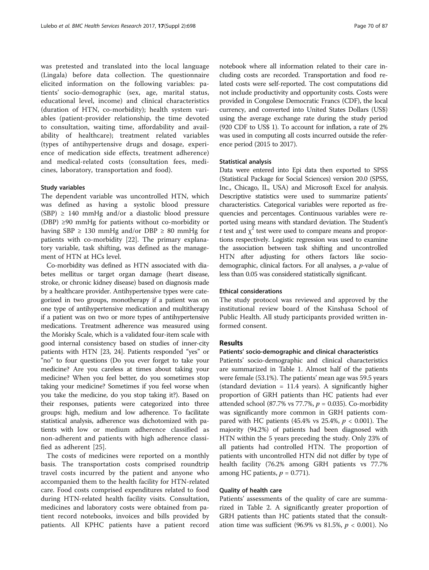was pretested and translated into the local language (Lingala) before data collection. The questionnaire elicited information on the following variables: patients' socio-demographic (sex, age, marital status, educational level, income) and clinical characteristics (duration of HTN, co-morbidity); health system variables (patient-provider relationship, the time devoted to consultation, waiting time, affordability and availability of healthcare); treatment related variables (types of antihypertensive drugs and dosage, experience of medication side effects, treatment adherence) and medical-related costs (consultation fees, medicines, laboratory, transportation and food).

#### Study variables

The dependent variable was uncontrolled HTN, which was defined as having a systolic blood pressure  $(SBP) \geq 140$  mmHg and/or a diastolic blood pressure (DBP) ≥90 mmHg for patients without co-morbidity or having SBP  $\geq$  130 mmHg and/or DBP  $\geq$  80 mmHg for patients with co-morbidity [[22\]](#page-5-0). The primary explanatory variable, task shifting, was defined as the management of HTN at HCs level.

Co-morbidity was defined as HTN associated with diabetes mellitus or target organ damage (heart disease, stroke, or chronic kidney disease) based on diagnosis made by a healthcare provider. Antihypertensive types were categorized in two groups, monotherapy if a patient was on one type of antihypertensive medication and multitherapy if a patient was on two or more types of antihypertensive medications. Treatment adherence was measured using the Morisky Scale, which is a validated four-item scale with good internal consistency based on studies of inner-city patients with HTN [\[23, 24\]](#page-5-0). Patients responded "yes" or "no" to four questions (Do you ever forget to take your medicine? Are you careless at times about taking your medicine? When you feel better, do you sometimes stop taking your medicine? Sometimes if you feel worse when you take the medicine, do you stop taking it?). Based on their responses, patients were categorized into three groups: high, medium and low adherence. To facilitate statistical analysis, adherence was dichotomized with patients with low or medium adherence classified as non-adherent and patients with high adherence classified as adherent [\[25](#page-6-0)].

The costs of medicines were reported on a monthly basis. The transportation costs comprised roundtrip travel costs incurred by the patient and anyone who accompanied them to the health facility for HTN-related care. Food costs comprised expenditures related to food during HTN-related health facility visits. Consultation, medicines and laboratory costs were obtained from patient record notebooks, invoices and bills provided by patients. All KPHC patients have a patient record

notebook where all information related to their care including costs are recorded. Transportation and food related costs were self-reported. The cost computations did not include productivity and opportunity costs. Costs were provided in Congolese Democratic Francs (CDF), the local currency, and converted into United States Dollars (US\$) using the average exchange rate during the study period (920 CDF to US\$ 1). To account for inflation, a rate of 2% was used in computing all costs incurred outside the reference period (2015 to 2017).

## Statistical analysis

Data were entered into Epi data then exported to SPSS (Statistical Package for Social Sciences) version 20.0 (SPSS, Inc., Chicago, IL, USA) and Microsoft Excel for analysis. Descriptive statistics were used to summarize patients' characteristics. Categorical variables were reported as frequencies and percentages. Continuous variables were reported using means with standard deviation. The Student's t test and  $\chi^2$  test were used to compare means and proportions respectively. Logistic regression was used to examine the association between task shifting and uncontrolled HTN after adjusting for others factors like sociodemographic, clinical factors. For all analyses, a p-value of less than 0.05 was considered statistically significant.

# Ethical considerations

The study protocol was reviewed and approved by the institutional review board of the Kinshasa School of Public Health. All study participants provided written informed consent.

# Results

## Patients' socio-demographic and clinical characteristics

Patients' socio-demographic and clinical characteristics are summarized in Table [1](#page-3-0). Almost half of the patients were female (53.1%). The patients' mean age was 59.5 years (standard deviation  $= 11.4$  years). A significantly higher proportion of GRH patients than HC patients had ever attended school (87.7% vs 77.7%,  $p = 0.035$ ). Co-morbidity was significantly more common in GRH patients compared with HC patients (45.4% vs 25.4%,  $p < 0.001$ ). The majority (94.2%) of patients had been diagnosed with HTN within the 5 years preceding the study. Only 23% of all patients had controlled HTN. The proportion of patients with uncontrolled HTN did not differ by type of health facility (76.2% among GRH patients vs 77.7% among HC patients,  $p = 0.771$ ).

# Quality of health care

Patients' assessments of the quality of care are summarized in Table [2.](#page-3-0) A significantly greater proportion of GRH patients than HC patients stated that the consultation time was sufficient (96.9% vs 81.5%,  $p < 0.001$ ). No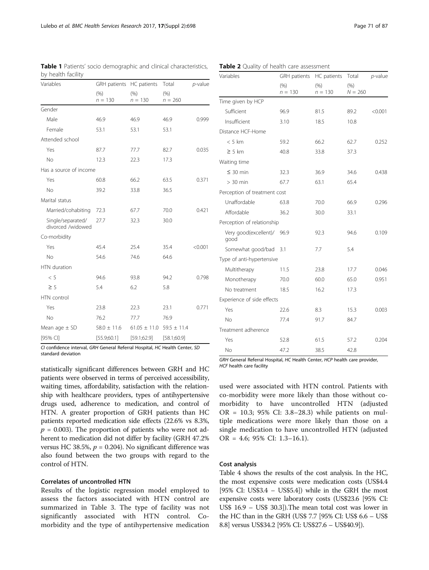| Variables                              | GRH patients      | HC patients       | Total             | $p$ -value |
|----------------------------------------|-------------------|-------------------|-------------------|------------|
|                                        | (% )<br>$n = 130$ | (% )<br>$n = 130$ | (% )<br>$n = 260$ |            |
| Gender                                 |                   |                   |                   |            |
| Male                                   | 46.9              | 46.9              | 46.9              | 0.999      |
| Female                                 | 53.1              | 53.1              | 53.1              |            |
| Attended school                        |                   |                   |                   |            |
| Yes                                    | 87.7              | 77.7              | 82.7              | 0.035      |
| No                                     | 12.3              | 22.3              | 17.3              |            |
| Has a source of income                 |                   |                   |                   |            |
| Yes                                    | 60.8              | 66.2              | 63.5              | 0.371      |
| <b>No</b>                              | 39.2              | 33.8              | 36.5              |            |
| Marital status                         |                   |                   |                   |            |
| Married/cohabiting                     | 72.3              | 67.7              | 70.0              | 0.421      |
| Single/separated/<br>divorced /widowed | 27.7              | 32.3              | 30.0              |            |
| Co-morbidity                           |                   |                   |                   |            |
| Yes                                    | 45.4              | 25.4              | 35.4              | < 0.001    |
| No                                     | 54.6              | 74.6              | 64.6              |            |
| HTN duration                           |                   |                   |                   |            |
| < 5                                    | 94.6              | 93.8              | 94.2              | 0.798      |
| $\geq$ 5                               | 5.4               | 6.2               | 5.8               |            |
| HTN control                            |                   |                   |                   |            |
| Yes                                    | 23.8              | 22.3              | 23.1              | 0.771      |
| <b>No</b>                              | 76.2              | 77.7              | 76.9              |            |
| Mean age $\pm$ SD                      | $58.0 \pm 11.6$   | $61.05 \pm 11.0$  | $59.5 \pm 11.4$   |            |
| [95% CI]                               | [55.9;60.1]       | [59.1;62.9]       | [58.1;60.9]       |            |

<span id="page-3-0"></span>Table 1 Patients' socio demographic and clinical characteristics, by health facility

CI confidence interval, GRH General Referral Hospital, HC Health Center, SD standard deviation

statistically significant differences between GRH and HC patients were observed in terms of perceived accessibility, waiting times, affordability, satisfaction with the relationship with healthcare providers, types of antihypertensive drugs used, adherence to medication, and control of HTN. A greater proportion of GRH patients than HC patients reported medication side effects (22.6% vs 8.3%,  $p = 0.003$ ). The proportion of patients who were not adherent to medication did not differ by facility (GRH 47.2% versus HC 38.5%,  $p = 0.204$ ). No significant difference was also found between the two groups with regard to the control of HTN.

# Correlates of uncontrolled HTN

Results of the logistic regression model employed to assess the factors associated with HTN control are summarized in Table [3.](#page-4-0) The type of facility was not significantly associated with HTN control. Comorbidity and the type of antihypertensive medication

| Variables                     | GRH patients     | HC patients        | Total              | $p$ -value |
|-------------------------------|------------------|--------------------|--------------------|------------|
|                               | (%)<br>$n = 130$ | (9/6)<br>$n = 130$ | (9/6)<br>$N = 260$ |            |
| Time given by HCP             |                  |                    |                    |            |
| Sufficient                    | 96.9             | 81.5               | 89.2               | < 0.001    |
| Insufficient                  | 3.10             | 18.5               | 10.8               |            |
| Distance HCF-Home             |                  |                    |                    |            |
| < 5 km                        | 59.2             | 66.2               | 62.7               | 0.252      |
| $\geq$ 5 km                   | 40.8             | 33.8               | 37.3               |            |
| Waiting time                  |                  |                    |                    |            |
| $\leq 30$ min                 | 32.3             | 36.9               | 34.6               | 0.438      |
| $> 30$ min                    | 67.7             | 63.1               | 65.4               |            |
| Perception of treatment cost  |                  |                    |                    |            |
| Unaffordable                  | 63.8             | 70.0               | 66.9               | 0.296      |
| Affordable                    | 36.2             | 30.0               | 33.1               |            |
| Perception of relationship    |                  |                    |                    |            |
| Very good(excellent)/<br>good | 96.9             | 92.3               | 94.6               | 0.109      |
| Somewhat good/bad             | 3.1              | 7.7                | 5.4                |            |
| Type of anti-hypertensive     |                  |                    |                    |            |
| Multitherapy                  | 11.5             | 23.8               | 17.7               | 0.046      |
| Monotherapy                   | 70.0             | 60.0               | 65.0               | 0.951      |
| No treatment                  | 18.5             | 16.2               | 17.3               |            |
| Experience of side effects    |                  |                    |                    |            |
| Yes                           | 22.6             | 8.3                | 15.3               | 0.003      |
| No                            | 77.4             | 91.7               | 84.7               |            |
| Treatment adherence           |                  |                    |                    |            |
| Yes                           | 52.8             | 61.5               | 57.2               | 0.204      |
|                               |                  |                    |                    |            |

Table 2 Quality of health care assessment

GRH General Referral Hospital, HC Health Center, HCP health care provider, HCF health care facility

No 47.2 38.5 42.8

used were associated with HTN control. Patients with co-morbidity were more likely than those without comorbidity to have uncontrolled HTN (adjusted OR = 10.3; 95% CI: 3.8–28.3) while patients on multiple medications were more likely than those on a single medication to have uncontrolled HTN (adjusted OR = 4.6; 95% CI: 1.3–16.1).

# Cost analysis

Table [4](#page-4-0) shows the results of the cost analysis. In the HC, the most expensive costs were medication costs (US\$4.4 [95% CI: US\$3.4  $-$  US\$5.4]) while in the GRH the most expensive costs were laboratory costs (US\$23.6 [95% CI: US\$ 16.9 – US\$ 30.3]).The mean total cost was lower in the HC than in the GRH (US\$ 7.7 [95% CI: US\$ 6.6 – US\$ 8.8] versus US\$34.2 [95% CI: US\$27.6 – US\$40.9]).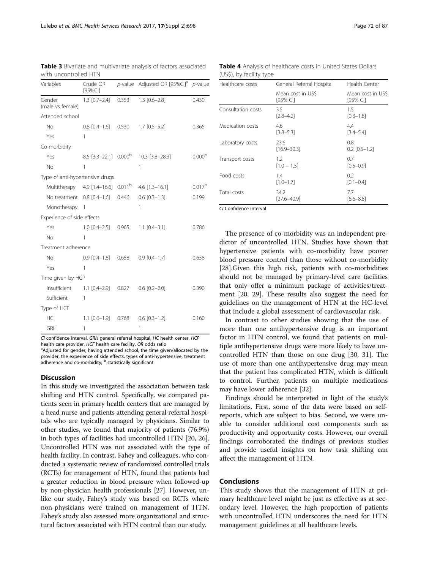<span id="page-4-0"></span>Lulebo et al. BMC Health Services Research 2017, 17(Suppl 2):698 Page 72 of 87

| Variables                       | Crude OR<br>[95%CI]               | $p$ -value Adjusted OR [95%CI] <sup>a</sup> $p$ -value |                    |
|---------------------------------|-----------------------------------|--------------------------------------------------------|--------------------|
| Gender<br>(male vs female)      | $1.3$ [0.7-2.4] 0.353             | $1.3$ [0.6-2.8]                                        | 0.430              |
| Attended school                 |                                   |                                                        |                    |
| <b>No</b>                       | $0.8$ [0.4-1.6] 0.530             | $1.7$ [0.5-5.2]                                        | 0.365              |
| Yes                             | 1                                 |                                                        |                    |
| Co-morbidity                    |                                   |                                                        |                    |
| Yes                             | 8.5 [3.3-22.1] 0.000 <sup>b</sup> | 10.3 [3.8-28.3]                                        | 0.000 <sup>b</sup> |
| <b>No</b>                       | 1                                 | 1                                                      |                    |
| Type of anti-hypertensive drugs |                                   |                                                        |                    |
| Multitherapy                    | 4.9 [1.4-16.6] 0.011 <sup>b</sup> | $4.6$ [1.3-16.1]                                       | 0.017 <sup>b</sup> |
|                                 | No treatment 0.8 [0.4-1.6] 0.446  | $0.6$ $[0.3-1.3]$                                      | 0.199              |
| Monotherapy                     | $\overline{\phantom{0}}$          | 1                                                      |                    |
| Experience of side effects      |                                   |                                                        |                    |
| Yes                             | $1.0$ $[0.4-2.5]$ 0.965           | $1.1$ $[0.4-3.1]$                                      | 0.786              |
| <b>No</b>                       | 1                                 |                                                        |                    |
| Treatment adherence             |                                   |                                                        |                    |
| <b>No</b>                       | $0.9$ $[0.4-1.6]$ 0.658           | $0.9$ $[0.4 - 1.7]$                                    | 0.658              |
| Yes                             | 1                                 |                                                        |                    |
| Time given by HCP               |                                   |                                                        |                    |
| Insufficient                    | $1.1$ $[0.4-2.9]$ 0.827           | $0.6$ $[0.2 - 2.0]$                                    | 0.390              |
| Sufficient                      | 1                                 |                                                        |                    |
| Type of HCF                     |                                   |                                                        |                    |
| HC.                             | $1.1$ $[0.6-1.9]$ 0.768           | $0.6$ $[0.3-1.2]$                                      | 0.160              |
| <b>GRH</b>                      | 1                                 | 1                                                      |                    |

Table 3 Bivariate and multivariate analysis of factors associated with uncontrolled HTN

CI confidence interval, GRH general referral hospital, HC health center, HCP health care provider, HCF health care facility, OR odds ratio

<sup>a</sup>Adjusted for gender, having attended school, the time given/allocated by the provider, the experience of side effects, types of anti-hypertensive, treatment adherence and co-morbidity; <sup>b</sup> statistically significant

## **Discussion**

In this study we investigated the association between task shifting and HTN control. Specifically, we compared patients seen in primary health centers that are managed by a head nurse and patients attending general referral hospitals who are typically managed by physicians. Similar to other studies, we found that majority of patients (76.9%) in both types of facilities had uncontrolled HTN [[20](#page-5-0), [26](#page-6-0)]. Uncontrolled HTN was not associated with the type of health facility. In contrast, Fahey and colleagues, who conducted a systematic review of randomized controlled trials (RCTs) for management of HTN, found that patients had a greater reduction in blood pressure when followed-up by non-physician health professionals [[27](#page-6-0)]. However, unlike our study, Fahey's study was based on RCTs where non-physicians were trained on management of HTN. Fahey's study also assessed more organizational and structural factors associated with HTN control than our study.

Table 4 Analysis of healthcare costs in United States Dollars (US\$), by facility type

| Healthcare costs   | General Referral Hospital     | Health Center                |
|--------------------|-------------------------------|------------------------------|
|                    | Mean cost in US\$<br>[95% CI] | Mean cost in USS<br>[95% CI] |
| Consultation costs | 3.5<br>$[2.8 - 4.2]$          | 1.5<br>$[0.3 - 1.8]$         |
| Medication costs   | 4.6<br>$[3.8 - 5.3]$          | 4.4<br>[3.4–5.4]             |
| Laboratory costs   | 23.6<br>[16.9–30.3]           | 0.8<br>$0.2$ $[0.5-1.2]$     |
| Transport costs    | 1.2<br>$[1.0 - 1.5]$          | 0.7<br>$[0.5 - 0.9]$         |
| Food costs         | 1.4<br>$[1.0 - 1.7]$          | 0.2<br>$[0.1 - 0.4]$         |
| Total costs        | 34.2<br>[27.6–40.9]           | 7.7<br>[6.6–8.8]             |

CI Confidence interval

The presence of co-morbidity was an independent predictor of uncontrolled HTN. Studies have shown that hypertensive patients with co-morbidity have poorer blood pressure control than those without co-morbidity [[28\]](#page-6-0).Given this high risk, patients with co-morbidities should not be managed by primary-level care facilities that only offer a minimum package of activities/treatment [[20,](#page-5-0) [29](#page-6-0)]. These results also suggest the need for guidelines on the management of HTN at the HC-level that include a global assessment of cardiovascular risk.

In contrast to other studies showing that the use of more than one antihypertensive drug is an important factor in HTN control, we found that patients on multiple antihypertensive drugs were more likely to have uncontrolled HTN than those on one drug [\[30](#page-6-0), [31\]](#page-6-0). The use of more than one antihypertensive drug may mean that the patient has complicated HTN, which is difficult to control. Further, patients on multiple medications may have lower adherence [\[32](#page-6-0)].

Findings should be interpreted in light of the study's limitations. First, some of the data were based on selfreports, which are subject to bias. Second, we were unable to consider additional cost components such as productivity and opportunity costs. However, our overall findings corroborated the findings of previous studies and provide useful insights on how task shifting can affect the management of HTN.

# Conclusions

This study shows that the management of HTN at primary healthcare level might be just as effective as at secondary level. However, the high proportion of patients with uncontrolled HTN underscores the need for HTN management guidelines at all healthcare levels.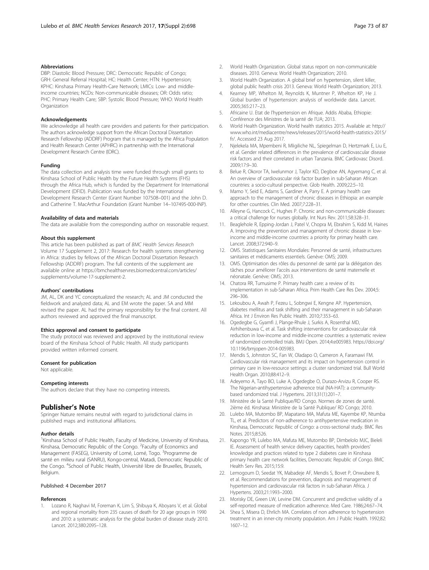#### <span id="page-5-0"></span>Abbreviations

DBP: Diastolic Blood Pressure; DRC: Democratic Republic of Congo; GRH: General Referral Hospital; HC: Health Center; HTN: Hypertension; KPHC: Kinshasa Primary Health-Care Network; LMICs: Low- and middleincome countries; NCDs: Non-communicable diseases; OR: Odds ratio; PHC: Primary Health Care; SBP: Systolic Blood Pressure; WHO: World Health Organization

#### Acknowledgements

We acknowledge all health care providers and patients for their participation. The authors acknowledge support from the African Doctoral Dissertation Research Fellowship (ADDRF) Program that is managed by the Africa Population and Health Research Center (APHRC) in partnership with the International Development Research Centre (IDRC).

#### Funding

The data collection and analysis time were funded through small grants to Kinshasa School of Public Health by the Future Health Systems (FHS) through the Africa Hub, which is funded by the Department for International Development (DFID). Publication was funded by the International Development Research Center (Grant Number 107508–001) and the John D. and Catherine T. MacArthur Foundation (Grant Number 14–107495-000-INP).

#### Availability of data and materials

The data are available from the corresponding author on reasonable request.

#### About this supplement

This article has been published as part of BMC Health Services Research Volume 17 Supplement 2, 2017: Research for health systems strengthening in Africa: studies by fellows of the African Doctoral Dissertation Research Fellowship (ADDRF) program. The full contents of the supplement are available online at [https://bmchealthservres.biomedcentral.com/articles/](https://bmchealthservres.biomedcentral.com/articles/supplements/volume-17-supplement-2) [supplements/volume-17-supplement-2.](https://bmchealthservres.biomedcentral.com/articles/supplements/volume-17-supplement-2)

#### Authors' contributions

JM, AL, DK and YC conceptualized the research; AL and JM conducted the fieldwork and analyzed data; AL and EM wrote the paper. SA and MM revised the paper. AL had the primary responsibility for the final content. All authors reviewed and approved the final manuscript.

#### Ethics approval and consent to participate

The study protocol was reviewed and approved by the institutional review board of the Kinshasa School of Public Health. All study participants provided written informed consent.

#### Consent for publication

Not applicable.

#### Competing interests

The authors declare that they have no competing interests.

#### Publisher's Note

Springer Nature remains neutral with regard to jurisdictional claims in published maps and institutional affiliations.

#### Author details

<sup>1</sup>Kinshasa School of Public Health, Faculty of Medicine, University of Kinshasa, Kinshasa, Democratic Republic of the Congo. <sup>2</sup> Faculty of Economics and Management (FASEG), University of Lomé, Lomé, Togo. <sup>3</sup>Programme de santé en milieu rural (SANRU), Kongo-central, Matadi, Democratic Republic of the Congo. <sup>4</sup> School of Public Health, Université libre de Bruxelles, Brussels, Belgium.

#### Published: 4 December 2017

#### References

1. Lozano R, Naghavi M, Foreman K, Lim S, Shibuya K, Aboyans V, et al. Global and regional mortality from 235 causes of death for 20 age groups in 1990 and 2010: a systematic analysis for the global burden of disease study 2010. Lancet. 2012;380:2095–128.

- 2. World Health Organization. Global status report on non-communicable diseases. 2010. Geneva: World Health Organization; 2010.
- 3. World Health Organization. A global brief on hypertension, silent killer, global public health crisis 2013. Geneva: World Health Organization; 2013.
- 4. Kearney MP, Whelton M, Reynolds K, Muntner P, Whelton KP, He J. Global burden of hypertension: analysis of worldwide data. Lancet. 2005;365:217–23.
- 5. Africaine U. Etat de l'hypertension en Afrique. Addis Ababa, Ethiopie: Conférence des Ministres de la santé de l'UA; 2013.
- 6. World Health Organization. World health statistics 2015. Available at: [http://](http://www.who.int/mediacentre/news/releases/2015/world-health-statistics-2015/fr) [www.who.int/mediacentre/news/releases/2015/world-health-statistics-2015/](http://www.who.int/mediacentre/news/releases/2015/world-health-statistics-2015/fr) [fr/](http://www.who.int/mediacentre/news/releases/2015/world-health-statistics-2015/fr). Accessed 23 Aug 2017.
- 7. Njelekela MA, Mpembeni R, Mligiliche NL, Spiegelman D, Hertzmark E, Liu E, et al. Gender related differences in the prevalence of cardiovascular disease risk factors and their correlated in urban Tanzania. BMC Cardiovasc Disord. 2009;17:9–30.
- 8. Belue R, Okoror TA, Iwelunmor J, Taylor KD, Degboe AN, Agyemang C, et al. An overview of cardiovascular risk factor burden in sub-Saharan African countries: a socio-cultural perspective. Glob Health. 2009;22:5–10.
- 9. Mamo Y, Seid E, Adams S, Gardiner A, Parry E. A primary health care approach to the management of chronic diseases in Ethiopia: an example for other countries. Clin Med. 2007;7:228–31.
- 10. Alleyne G, Hancock C, Hughes P. Chronic and non-communicable diseases: a critical challenge for nurses globally. Int Nurs Rev. 2011;58:328–31.
- 11. Beaglehole R, Epping-Jordan J, Patel V, Chopra M, Ebrahim S, Kidd M, Haines A. Improving the prevention and management of chronic disease in lowincome and middle-income countries: a priority for primary health care. Lancet. 2008;372:940–9.
- 12. OMS. Statistiques Sanitaires Mondiales: Personnel de santé, infrastructures sanitaires et médicaments essentiels. Genève: OMS; 2009.
- 13. OMS. Optimisation des rôles du personnel de santé par la délégation des tâches pour améliorer l'accès aux interventions de santé maternelle et néonatale. Genève: OMS; 2013.
- 14. Chatora RR, Tumusime P. Primary health care: a review of its implementation in sub-Saharan Africa. Prim Health Care Res Dev. 2004;5: 296–306.
- 15. Lekoubou A, Awah P, Fezeu L, Sobngwi E, Kengne AP. Hypertension, diabetes mellitus and task shifting and their management in sub-Saharan Africa. Int J Environ Res Public Health. 2010;7:353–63.
- 16. Ogedegbe G, Gyamfi J, Plange-Rhule J, Surkis A, Rosenthal MD, Airhihenbuwa C, et al. Task shifting interventions for cardiovascular risk reduction in low-income and middle-income countries: a systematic review of randomized controlled trials. BMJ Open. 2014;4:e005983. [https://doi.org/](http://dx.doi.org/10.1196/bmjopen-2014-005983) [10.1196/bmjopen-2014-005983](http://dx.doi.org/10.1196/bmjopen-2014-005983).
- 17. Mendis S, Johnston SC, Fan W, Oladapo O, Cameron A, Faramawi FM. Cardiovascular risk management and its impact on hypertension control in primary care in low-resource settings: a cluster randomized trial. Bull World Health Organ. 2010;88:412–9.
- 18. Adeyemo A, Tayo BO, Luke A, Ogedegbe O, Durazo-Arvizu R, Cooper RS. The Nigerian-antihypertensive adherence trial (NA-HAT): a communitybased randomized trial. J Hypertens. 2013;31(1):201–7.
- 19. Ministère de la Santé Publique/RD Congo. Normes de zones de santé. 2ième éd. Kinshasa: Ministère de la Santé Publique/ RD Congo; 2010.
- 20. Lulebo MA, Mutombo BP, Mapatano MA, Mafuta ME, Kayembe KP, Ntumba TL, et al. Predictors of non-adherence to antihypertensive medication in Kinshasa, Democratic Republic of Congo: a cross-sectional study. BMC Res Notes. 2015;8:526.
- 21. Kapongo YR, Lulebo MA, Mafuta ME, Mutombo BP, Dimbelolo MJC, Bieleli IE. Assessment of health service delivery capacities, health providers' knowledge and practices related to type 2 diabetes care in Kinshasa primary health care network facilities, Democratic Republic of Congo. BMC Health Serv Res. 2015;15:9.
- 22. Lemogoum D, Seedat YK, Mabadeje AF, Mendis S, Bovet P, Onwubere B, et al. Recommendations for prevention, diagnosis and management of hypertension and cardiovascular risk factors in sub-Saharan Africa. J Hypertens. 2003;21:1993–2000.
- 23. Morisky DE, Green LW, Levine DM. Concurrent and predictive validity of a self-reported measure of medication adherence. Med Care. 1986;24:67–74.
- 24. Shea S, Misera D, Ehrlich MA. Correlates of non adherence to hypertension treatment in an inner-city minority population. Am J Public Health. 1992;82: 1607–12.